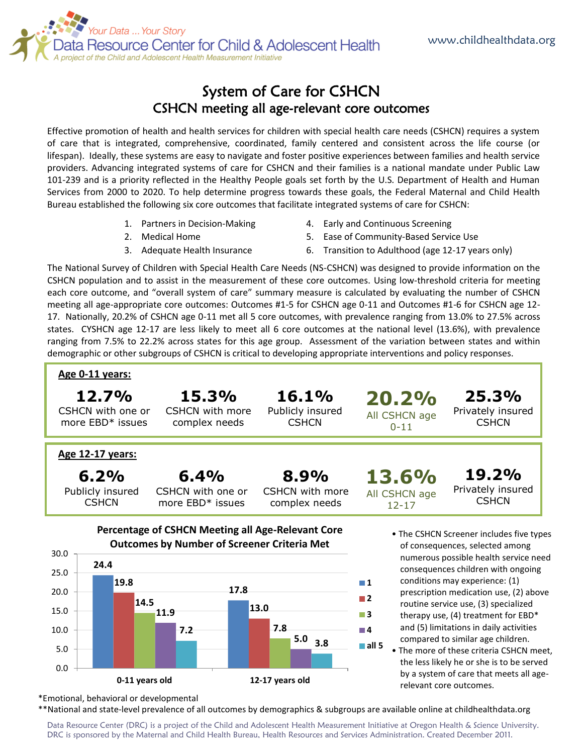

## System of Care for CSHCN CSHCN meeting all age-relevant core outcomes

Effective promotion of health and health services for children with special health care needs (CSHCN) requires a system of care that is integrated, comprehensive, coordinated, family centered and consistent across the life course (or lifespan). Ideally, these systems are easy to navigate and foster positive experiences between families and health service providers. Advancing integrated systems of care for CSHCN and their families is a national mandate under Public Law 101-239 and is a priority reflected in the Healthy People goals set forth by the U.S. Department of Health and Human Services from 2000 to 2020. To help determine progress towards these goals, the Federal Maternal and Child Health Bureau established the following six core outcomes that facilitate integrated systems of care for CSHCN:

- 1. Partners in Decision-Making
- 2. Medical Home
- 3. Adequate Health Insurance
- 4. Early and Continuous Screening
- 5. Ease of Community-Based Service Use
- 6. Transition to Adulthood (age 12-17 years only)

relevant core outcomes.

The National Survey of Children with Special Health Care Needs (NS-CSHCN) was designed to provide information on the CSHCN population and to assist in the measurement of these core outcomes. Using low-threshold criteria for meeting each core outcome, and "overall system of care" summary measure is calculated by evaluating the number of CSHCN meeting all age-appropriate core outcomes: Outcomes #1-5 for CSHCN age 0-11 and Outcomes #1-6 for CSHCN age 12- 17. Nationally, 20.2% of CSHCN age 0-11 met all 5 core outcomes, with prevalence ranging from 13.0% to 27.5% across states. CYSHCN age 12-17 are less likely to meet all 6 core outcomes at the national level (13.6%), with prevalence ranging from 7.5% to 22.2% across states for this age group. Assessment of the variation between states and within demographic or other subgroups of CSHCN is critical to developing appropriate interventions and policy responses.



\*Emotional, behavioral or developmental

\*\*National and state-level prevalence of all outcomes by demographics & subgroups are available online at childhealthdata.org

**0-11 years old 12-17 years old**

Data Resource Center (DRC) is a project of the Child and Adolescent Health Measurement Initiative at Oregon Health & Science University. DRC is sponsored by the Maternal and Child Health Bureau, Health Resources and Services Administration. Created December 2011.